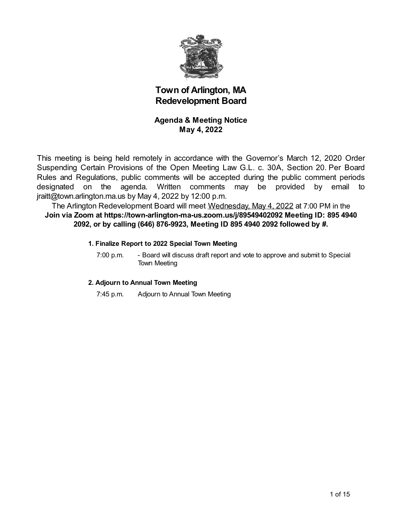

# **Town of Arlington, MA Redevelopment Board**

### **Agenda & Meeting Notice May 4, 2022**

This meeting is being held remotely in accordance with the Governor's March 12, 2020 Order Suspending Certain Provisions of the Open Meeting Law G.L. c. 30A, Section 20. Per Board Rules and Regulations, public comments will be accepted during the public comment periods designated on the agenda. Written comments may be provided by email to jraitt@town.arlington.ma.us by May 4, 2022 by 12:00 p.m.

The Arlington Redevelopment Board will meet Wednesday, May 4, 2022 at 7:00 PM in the **Join via Zoom at https://town-arlington-ma-us.zoom.us/j/89549402092 Meeting ID: 895 4940 2092, or by calling (646) 876-9923, Meeting ID 895 4940 2092 followed by #.**

#### **1. Finalize Report to 2022 Special Town Meeting**

7:00 p.m. - Board will discuss draft report and vote to approve and submit to Special Town Meeting

#### **2. Adjourn to Annual Town Meeting**

7:45 p.m. Adjourn to Annual Town Meeting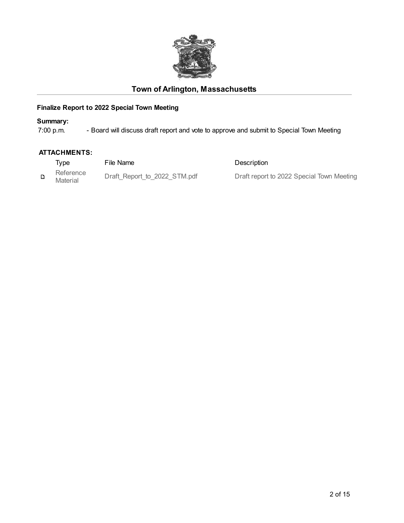

# **Town of Arlington, Massachusetts**

## **Finalize Report to 2022 Special Town Meeting**

**Summary:**<br>7:00 p.m. - Board will discuss draft report and vote to approve and submit to Special Town Meeting

#### **ATTACHMENTS:**

| Type                  | File Name                    | Description                               |
|-----------------------|------------------------------|-------------------------------------------|
| Reference<br>Material | Draft Report to 2022 STM.pdf | Draft report to 2022 Special Town Meeting |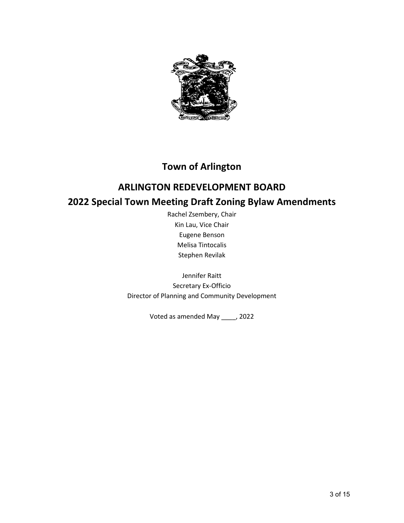

# **Town of Arlington**

# **ARLINGTON REDEVELOPMENT BOARD 2022 Special Town Meeting Draft Zoning Bylaw Amendments**

Rachel Zsembery, Chair Kin Lau, Vice Chair Eugene Benson Melisa Tintocalis Stephen Revilak

Jennifer Raitt Secretary Ex-Officio Director of Planning and Community Development

Voted as amended May \_\_\_\_, 2022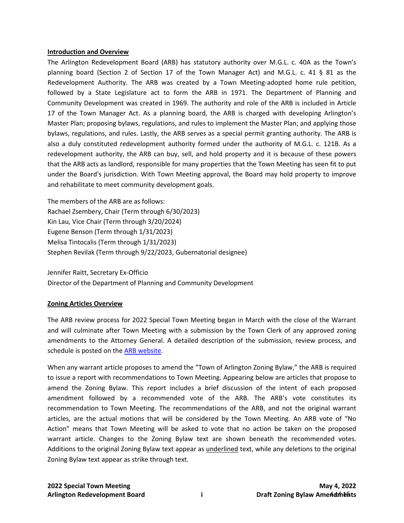#### **Introduction and Overview**

The Arlington Redevelopment Board (ARB) has statutory authority over M.G.L. c. 40A as the Town's planning board (Section 2 of Section 17 of the Town Manager Act) and M.G.L. c. 41 § 81 as the Redevelopment Authority. The ARB was created by a Town Meeting-adopted home rule petition, followed by a State Legislature act to form the ARB in 1971. The Department of Planning and Community Development was created in 1969. The authority and role of the ARB is included in Article 17 of the Town Manager Act. As a planning board, the ARB is charged with developing Arlington's Master Plan; proposing bylaws, regulations, and rules to implement the Master Plan; and applying those bylaws, regulations, and rules. Lastly, the ARB serves as a special permit granting authority. The ARB is also a duly constituted redevelopment authority formed under the authority of M.G.L. c. 121B. As a redevelopment authority, the ARB can buy, sell, and hold property and it is because of these powers that the ARB acts as landlord, responsible for many properties that the Town Meeting has seen fit to put under the Board's jurisdiction. With Town Meeting approval, the Board may hold property to improve and rehabilitate to meet community development goals.

The members of the ARB are as follows: Rachael Zsembery, Chair (Term through 6/30/2023) Kin Lau, Vice Chair (Term through 3/20/2024) [Eugene](http://www.arlingtonma.gov/Home/Components/StaffDirectory/StaffDirectory/1530/) Benson (Term through 1/31/2023) Melisa Tintocalis (Term through 1/31/2023) Stephen Revilak (Term through 9/22/2023, Gubernatorial designee)

Jennifer Raitt, Secretary Ex-Officio Director of the Department of Planning and Community Development

#### **Zoning Articles Overview**

The ARB review process for 2022 Special Town Meeting began in March with the close of the Warrant and will culminate after Town Meeting with a submission by the Town Clerk of any approved zoning amendments to the Attorney General. A detailed description of the submission, review process, and schedule is posted on the [ARB website.](https://www.arlingtonma.gov/home/showpublisheddocument?id=54635)

When any warrant article proposes to amend the "Town of Arlington Zoning Bylaw," the ARB is required to issue a report with recommendations to Town Meeting. Appearing below are articles that propose to amend the Zoning Bylaw. This report includes a brief discussion of the intent of each proposed amendment followed by a recommended vote of the ARB. The ARB's vote constitutes its recommendation to Town Meeting. The recommendations of the ARB, and not the original warrant articles, are the actual motions that will be considered by the Town Meeting. An ARB vote of "No Action" means that Town Meeting will be asked to vote that no action be taken on the proposed warrant article. Changes to the Zoning Bylaw text are shown beneath the recommended votes. Additions to the original Zoning Bylaw text appear as underlined text, while any deletions to the original Zoning Bylaw text appear as strike through text.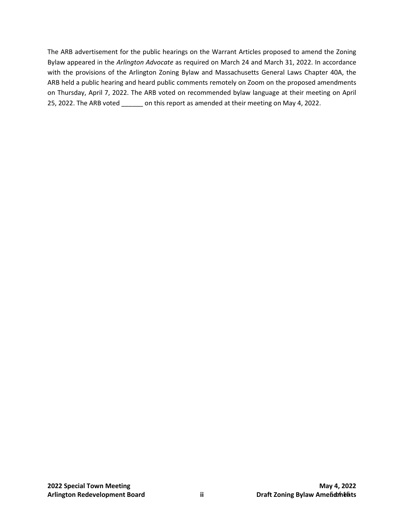The ARB advertisement for the public hearings on the Warrant Articles proposed to amend the Zoning Bylaw appeared in the *Arlington Advocate* as required on March 24 and March 31, 2022. In accordance with the provisions of the Arlington Zoning Bylaw and Massachusetts General Laws Chapter 40A, the ARB held a public hearing and heard public comments remotely on Zoom on the proposed amendments on Thursday, April 7, 2022. The ARB voted on recommended bylaw language at their meeting on April 25, 2022. The ARB voted \_\_\_\_\_\_ on this report as amended at their meeting on May 4, 2022.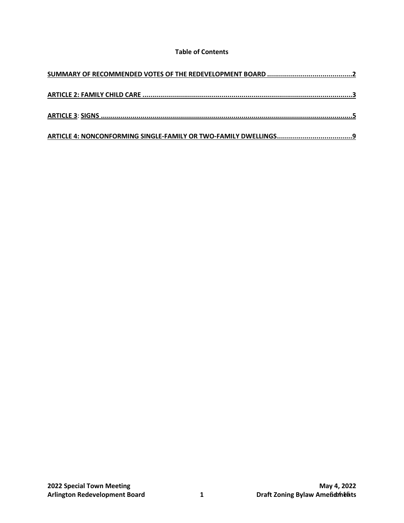#### **Table of Contents**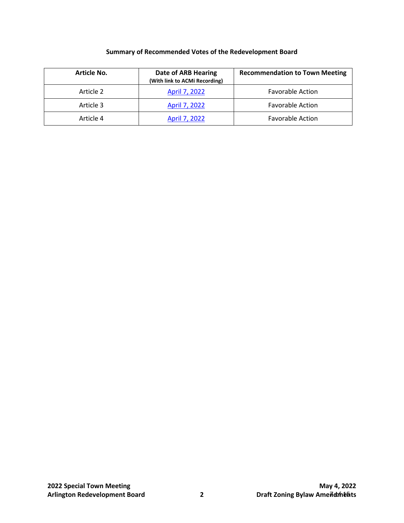### **Summary of Recommended Votes of the Redevelopment Board**

<span id="page-6-0"></span>

| <b>Article No.</b> | Date of ARB Hearing<br>(With link to ACMi Recording) | <b>Recommendation to Town Meeting</b> |
|--------------------|------------------------------------------------------|---------------------------------------|
| Article 2          | April 7, 2022                                        | <b>Favorable Action</b>               |
| Article 3          | April 7, 2022                                        | <b>Favorable Action</b>               |
| Article 4          | April 7, 2022                                        | <b>Favorable Action</b>               |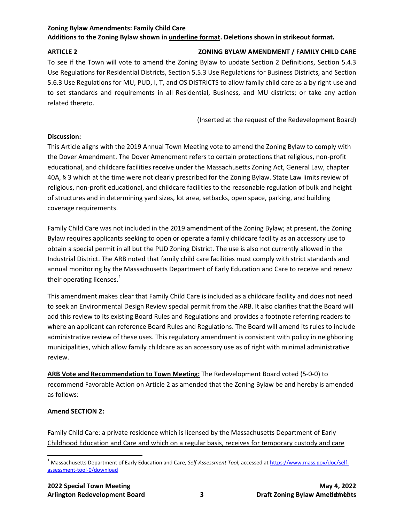#### **Zoning Bylaw Amendments: Family Child Care Additions to the Zoning Bylaw shown in underline format. Deletions shown in strikeout format.**

#### <span id="page-7-0"></span>**ARTICLE 2 ZONING BYLAW AMENDMENT / FAMILY CHILD CARE**

To see if the Town will vote to amend the Zoning Bylaw to update Section 2 Definitions, Section 5.4.3 Use Regulations for Residential Districts, Section 5.5.3 Use Regulations for Business Districts, and Section 5.6.3 Use Regulations for MU, PUD, I, T, and OS DISTRICTS to allow family child care as a by right use and to set standards and requirements in all Residential, Business, and MU districts; or take any action related thereto.

(Inserted at the request of the Redevelopment Board)

#### **Discussion:**

This Article aligns with the 2019 Annual Town Meeting vote to amend the Zoning Bylaw to comply with the Dover Amendment. The Dover Amendment refers to certain protections that religious, non-profit educational, and childcare facilities receive under the Massachusetts Zoning Act, General Law, chapter 40A, § 3 which at the time were not clearly prescribed for the Zoning Bylaw. State Law limits review of religious, non-profit educational, and childcare facilities to the reasonable regulation of bulk and height of structures and in determining yard sizes, lot area, setbacks, open space, parking, and building coverage requirements.

Family Child Care was not included in the 2019 amendment of the Zoning Bylaw; at present, the Zoning Bylaw requires applicants seeking to open or operate a family childcare facility as an accessory use to obtain a special permit in all but the PUD Zoning District. The use is also not currently allowed in the Industrial District. The ARB noted that family child care facilities must comply with strict standards and annual monitoring by the Massachusetts Department of Early Education and Care to receive and renew their operating licenses.<sup>[1](#page-7-1)</sup>

This amendment makes clear that Family Child Care is included as a childcare facility and does not need to seek an Environmental Design Review special permit from the ARB. It also clarifies that the Board will add this review to its existing Board Rules and Regulations and provides a footnote referring readers to where an applicant can reference Board Rules and Regulations. The Board will amend its rules to include administrative review of these uses. This regulatory amendment is consistent with policy in neighboring municipalities, which allow family childcare as an accessory use as of right with minimal administrative review.

**ARB Vote and Recommendation to Town Meeting:** The Redevelopment Board voted (5-0-0) to recommend Favorable Action on Article 2 as amended that the Zoning Bylaw be and hereby is amended as follows:

#### **Amend SECTION 2:**

Family Child Care: a private residence which is licensed by the Massachusetts Department of Early Childhood Education and Care and which on a regular basis, receives for temporary custody and care

<span id="page-7-1"></span> <sup>1</sup> Massachusetts Department of Early Education and Care, *Self-Assessment Tool*, accessed a[t https://www.mass.gov/doc/self](https://www.mass.gov/doc/self-assessment-tool-0/download)[assessment-tool-0/download](https://www.mass.gov/doc/self-assessment-tool-0/download)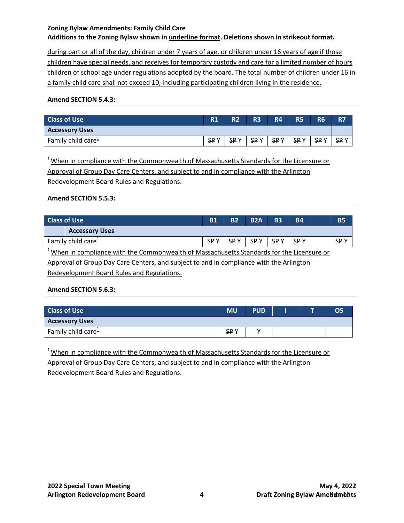### **Zoning Bylaw Amendments: Family Child Care Additions to the Zoning Bylaw shown in underline format. Deletions shown in strikeout format.**

during part or all of the day, children under 7 years of age, or children under 16 years of age if those children have special needs, and receives for temporary custody and care for a limited number of hours children of school age under regulations adopted by the board. The total number of children under 16 in a family child care shall not exceed 10, including participating children living in the residence.

#### **Amend SECTION 5.4.3:**

| <b>Class of Use</b>     | R1         | R <sub>2</sub> | R <sub>3</sub> | <b>R4</b>  | <b>R5</b>  | <b>R6</b>  | <b>R7</b>  |
|-------------------------|------------|----------------|----------------|------------|------------|------------|------------|
| <b>Accessory Uses</b>   |            |                |                |            |            |            |            |
| Family child care $\pm$ | <b>SPY</b> | <b>SPY</b>     | SP Y           | <b>SPY</b> | <b>SPY</b> | <b>SPY</b> | <b>SPY</b> |

<sup>1</sup>When in compliance with the Commonwealth of Massachusetts Standards for the Licensure or Approval of Group Day Care Centers, and subject to and in compliance with the Arlington Redevelopment Board Rules and Regulations.

#### **Amend SECTION 5.5.3:**

| <b>Class of Use</b>                    |                       | <b>B1</b> | <b>B2</b>  | <b>B2A</b> | <b>B3</b>  | <b>B4</b>  | <b>B5</b> |
|----------------------------------------|-----------------------|-----------|------------|------------|------------|------------|-----------|
|                                        | <b>Accessory Uses</b> |           |            |            |            |            |           |
| Family child care $\frac{1}{2}$<br>. . |                       | SP Y      | <b>SPY</b> | <b>SPY</b> | <b>SPY</b> | <b>SPY</b> | <b>SP</b> |

 $<sup>1</sup>$ When in compliance with the Commonwealth of Massachusetts Standards for the Licensure or</sup>

Approval of Group Day Care Centers, and subject to and in compliance with the Arlington Redevelopment Board Rules and Regulations.

#### **Amend SECTION 5.6.3:**

| <b>Class of Use</b>   | <b>MU</b>  | <b>PUD</b> |  | OS |
|-----------------------|------------|------------|--|----|
| <b>Accessory Uses</b> |            |            |  |    |
| Family child care $1$ | <b>SPY</b> |            |  |    |

<sup>1</sup>When in compliance with the Commonwealth of Massachusetts Standards for the Licensure or Approval of Group Day Care Centers, and subject to and in compliance with the Arlington Redevelopment Board Rules and Regulations.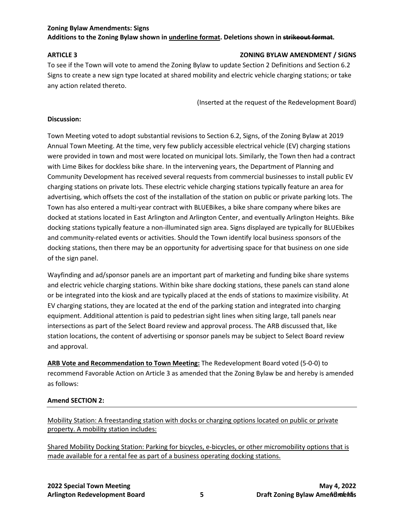#### **Zoning Bylaw Amendments: Signs Additions to the Zoning Bylaw shown in underline format. Deletions shown in strikeout format.**

#### <span id="page-9-0"></span>**ARTICLE 3 ZONING BYLAW AMENDMENT / SIGNS**

To see if the Town will vote to amend the Zoning Bylaw to update Section 2 Definitions and Section 6.2 Signs to create a new sign type located at shared mobility and electric vehicle charging stations; or take any action related thereto.

(Inserted at the request of the Redevelopment Board)

#### **Discussion:**

Town Meeting voted to adopt substantial revisions to Section 6.2, Signs, of the Zoning Bylaw at 2019 Annual Town Meeting. At the time, very few publicly accessible electrical vehicle (EV) charging stations were provided in town and most were located on municipal lots. Similarly, the Town then had a contract with Lime Bikes for dockless bike share. In the intervening years, the Department of Planning and Community Development has received several requests from commercial businesses to install public EV charging stations on private lots. These electric vehicle charging stations typically feature an area for advertising, which offsets the cost of the installation of the station on public or private parking lots. The Town has also entered a multi-year contract with BLUEBikes, a bike share company where bikes are docked at stations located in East Arlington and Arlington Center, and eventually Arlington Heights. Bike docking stations typically feature a non-illuminated sign area. Signs displayed are typically for BLUEbikes and community-related events or activities. Should the Town identify local business sponsors of the docking stations, then there may be an opportunity for advertising space for that business on one side of the sign panel.

Wayfinding and ad/sponsor panels are an important part of marketing and funding bike share systems and electric vehicle charging stations. Within bike share docking stations, these panels can stand alone or be integrated into the kiosk and are typically placed at the ends of stations to maximize visibility. At EV charging stations, they are located at the end of the parking station and integrated into charging equipment. Additional attention is paid to pedestrian sight lines when siting large, tall panels near intersections as part of the Select Board review and approval process. The ARB discussed that, like station locations, the content of advertising or sponsor panels may be subject to Select Board review and approval.

**ARB Vote and Recommendation to Town Meeting:** The Redevelopment Board voted (5-0-0) to recommend Favorable Action on Article 3 as amended that the Zoning Bylaw be and hereby is amended as follows:

#### **Amend SECTION 2:**

Mobility Station: A freestanding station with docks or charging options located on public or private property. A mobility station includes:

Shared Mobility Docking Station: Parking for bicycles, e-bicycles, or other micromobility options that is made available for a rental fee as part of a business operating docking stations.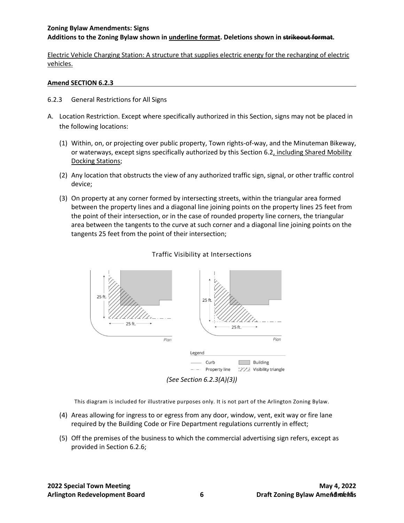#### **Zoning Bylaw Amendments: Signs Additions to the Zoning Bylaw shown in underline format. Deletions shown in strikeout format.**

Electric Vehicle Charging Station: A structure that supplies electric energy for the recharging of electric vehicles.

#### **Amend SECTION 6.2.3**

- 6.2.3 General Restrictions for All Signs
- A. Location Restriction. Except where specifically authorized in this Section, signs may not be placed in the following locations:
	- (1) Within, on, or projecting over public property, Town rights-of-way, and the Minuteman Bikeway, or waterways, except signs specifically authorized by this Section 6.2, including Shared Mobility Docking Stations;
	- (2) Any location that obstructs the view of any authorized traffic sign, signal, or other traffic control device;
	- (3) On property at any corner formed by intersecting streets, within the triangular area formed between the property lines and a diagonal line joining points on the property lines 25 feet from the point of their intersection, or in the case of rounded property line corners, the triangular area between the tangents to the curve at such corner and a diagonal line joining points on the tangents 25 feet from the point of their intersection;



#### Traffic Visibility at Intersections

This diagram is included for illustrative purposes only. It is not part of the Arlington Zoning Bylaw.

- (4) Areas allowing for ingress to or egress from any door, window, vent, exit way or fire lane required by the Building Code or Fire Department regulations currently in effect;
- (5) Off the premises of the business to which the commercial advertising sign refers, except as provided in Section 6.2.6;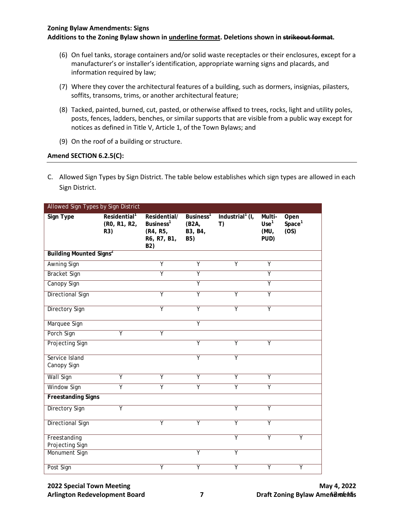#### **Zoning Bylaw Amendments: Signs**

**Additions to the Zoning Bylaw shown in underline format. Deletions shown in strikeout format.**

- (6) On fuel tanks, storage containers and/or solid waste receptacles or their enclosures, except for a manufacturer's or installer's identification, appropriate warning signs and placards, and information required by law;
- (7) Where they cover the architectural features of a building, such as dormers, insignias, pilasters, soffits, transoms, trims, or another architectural feature;
- (8) Tacked, painted, burned, cut, pasted, or otherwise affixed to trees, rocks, light and utility poles, posts, fences, ladders, benches, or similar supports that are visible from a public way except for notices as defined in Title V, Article 1, of the Town Bylaws; and
- (9) On the roof of a building or structure.

#### **Amend SECTION 6.2.5(C):**

C. Allowed Sign Types by Sign District. The table below establishes which sign types are allowed in each Sign District.

| Allowed Sign Types by Sign District       |                                                 |                                                                         |                                                  |                                     |                                            |                                    |
|-------------------------------------------|-------------------------------------------------|-------------------------------------------------------------------------|--------------------------------------------------|-------------------------------------|--------------------------------------------|------------------------------------|
| <b>Sign Type</b>                          | Residential <sup>1</sup><br>(RO, R1, R2,<br>R3) | Residential/<br>Business <sup>1</sup><br>(R4, R5,<br>R6, R7, B1,<br>B2) | Business <sup>1</sup><br>(B2A,<br>B3, B4,<br>B5) | Industrial <sup>1</sup> $(I,$<br>T) | Multi-<br>Use <sup>1</sup><br>(MU,<br>PUD) | Open<br>Space <sup>1</sup><br>(OS) |
| <b>Building Mounted Signs<sup>2</sup></b> |                                                 |                                                                         |                                                  |                                     |                                            |                                    |
| <b>Awning Sign</b>                        |                                                 | $\overline{Y}$                                                          | Y                                                | $\overline{Y}$                      | Y                                          |                                    |
| <b>Bracket Sign</b>                       |                                                 | $\overline{\mathsf{Y}}$                                                 | $\overline{\mathsf{Y}}$                          |                                     | $\overline{\mathsf{Y}}$                    |                                    |
| Canopy Sign                               |                                                 |                                                                         | $\overline{\mathsf{Y}}$                          |                                     | $\overline{\mathsf{Y}}$                    |                                    |
| <b>Directional Sign</b>                   |                                                 | γ                                                                       | $\overline{\mathsf{Y}}$                          | Υ                                   | $\overline{\mathsf{Y}}$                    |                                    |
| <b>Directory Sign</b>                     |                                                 | Υ                                                                       | $\overline{\mathsf{Y}}$                          | Υ                                   | $\overline{\mathsf{Y}}$                    |                                    |
| Marquee Sign                              |                                                 |                                                                         | $\overline{\mathsf{Y}}$                          |                                     |                                            |                                    |
| Porch Sign                                | $\overline{Y}$                                  | Y                                                                       |                                                  |                                     |                                            |                                    |
| <b>Projecting Sign</b>                    |                                                 |                                                                         | $\overline{Y}$                                   | $\overline{\mathsf{Y}}$             | $\overline{Y}$                             |                                    |
| Service Island<br>Canopy Sign             |                                                 |                                                                         | $\overline{Y}$                                   | $\overline{Y}$                      |                                            |                                    |
| <b>Wall Sign</b>                          | Υ                                               | Υ                                                                       | Y                                                | Υ                                   | Y                                          |                                    |
| <b>Window Sign</b>                        | $\overline{\mathsf{Y}}$                         | $\overline{\mathsf{Y}}$                                                 | $\overline{Y}$                                   | $\overline{Y}$                      | $\overline{Y}$                             |                                    |
| <b>Freestanding Signs</b>                 |                                                 |                                                                         |                                                  |                                     |                                            |                                    |
| <b>Directory Sign</b>                     | $\overline{\mathsf{Y}}$                         |                                                                         |                                                  | $\overline{Y}$                      | $\overline{Y}$                             |                                    |
| <b>Directional Sign</b>                   |                                                 | $\overline{\mathsf{Y}}$                                                 | Υ                                                | $\overline{\mathsf{Y}}$             | γ                                          |                                    |
| Freestanding<br>Projecting Sign           |                                                 |                                                                         |                                                  | $\overline{\mathsf{Y}}$             | Υ                                          | Ÿ                                  |
| Monument Sign                             |                                                 |                                                                         | $\overline{Y}$                                   | $\overline{Y}$                      |                                            |                                    |
| Post Sign                                 |                                                 | Υ                                                                       | Υ                                                | $\overline{Y}$                      | Y                                          | $\overline{\mathsf{Y}}$            |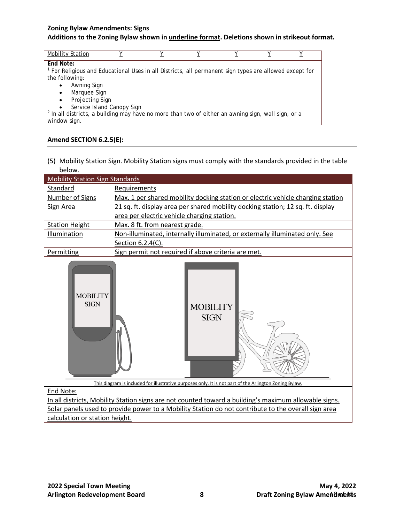#### **Zoning Bylaw Amendments: Signs Additions to the Zoning Bylaw shown in underline format. Deletions shown in strikeout format.**

| <b>Mobility Station</b>                                                                                           |                            |  |  |  |
|-------------------------------------------------------------------------------------------------------------------|----------------------------|--|--|--|
| End Note:                                                                                                         |                            |  |  |  |
| <sup>1</sup> For Religious and Educational Uses in all Districts, all permanent sign types are allowed except for |                            |  |  |  |
| the following:                                                                                                    |                            |  |  |  |
| Awning Sign<br>٠                                                                                                  |                            |  |  |  |
| Marquee Sign<br>$\bullet$                                                                                         |                            |  |  |  |
| Projecting Sign<br>$\bullet$                                                                                      |                            |  |  |  |
| $\bullet$                                                                                                         | Service Island Canopy Sign |  |  |  |
| $2$ In all districts, a building may have no more than two of either an awning sign, wall sign, or a              |                            |  |  |  |
| window sign.                                                                                                      |                            |  |  |  |

#### **Amend SECTION 6.2.5(E):**

(5) Mobility Station Sign. Mobility Station signs must comply with the standards provided in the table below.

| <b>Mobility Station Sign Standards</b>                                                                |                                                                                                        |  |  |  |  |
|-------------------------------------------------------------------------------------------------------|--------------------------------------------------------------------------------------------------------|--|--|--|--|
| Standard                                                                                              | Requirements                                                                                           |  |  |  |  |
| Number of Signs                                                                                       | Max. 1 per shared mobility docking station or electric vehicle charging station                        |  |  |  |  |
| Sign Area                                                                                             | 21 sq. ft. display area per shared mobility docking station; 12 sq. ft. display                        |  |  |  |  |
|                                                                                                       | area per electric vehicle charging station.                                                            |  |  |  |  |
| <b>Station Height</b>                                                                                 | Max. 8 ft. from nearest grade.                                                                         |  |  |  |  |
| Illumination                                                                                          | Non-illuminated, internally illuminated, or externally illuminated only. See                           |  |  |  |  |
|                                                                                                       | Section 6.2.4(C).                                                                                      |  |  |  |  |
| Permitting                                                                                            | Sign permit not required if above criteria are met.                                                    |  |  |  |  |
| <b>MOBILITY</b><br><b>SIGN</b>                                                                        | <b>MOBILITY</b><br><b>SIGN</b>                                                                         |  |  |  |  |
| End Note:                                                                                             | This diagram is included for illustrative purposes only. It is not part of the Arlington Zoning Bylaw. |  |  |  |  |
| In all districts, Mobility Station signs are not counted toward a building's maximum allowable signs. |                                                                                                        |  |  |  |  |
| Solar panels used to provide power to a Mobility Station do not contribute to the overall sign area   |                                                                                                        |  |  |  |  |
| calculation or station height.                                                                        |                                                                                                        |  |  |  |  |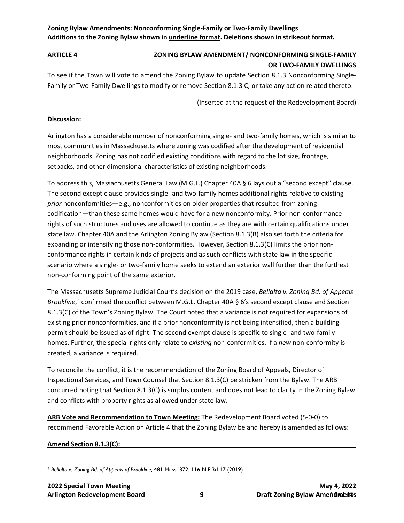### **Zoning Bylaw Amendments: Nonconforming Single-Family or Two-Family Dwellings Additions to the Zoning Bylaw shown in underline format. Deletions shown in strikeout format.**

# <span id="page-13-0"></span>**ARTICLE 4 ZONING BYLAW AMENDMENT/ NONCONFORMING SINGLE-FAMILY OR TWO-FAMILY DWELLINGS**

To see if the Town will vote to amend the Zoning Bylaw to update Section 8.1.3 Nonconforming Single-Family or Two-Family Dwellings to modify or remove Section 8.1.3 C; or take any action related thereto.

(Inserted at the request of the Redevelopment Board)

#### **Discussion:**

Arlington has a considerable number of nonconforming single- and two-family homes, which is similar to most communities in Massachusetts where zoning was codified after the development of residential neighborhoods. Zoning has not codified existing conditions with regard to the lot size, frontage, setbacks, and other dimensional characteristics of existing neighborhoods.

To address this, Massachusetts General Law (M.G.L.) Chapter 40A § 6 lays out a "second except" clause. The second except clause provides single- and two-family homes additional rights relative to existing *prior* nonconformities—e.g., nonconformities on older properties that resulted from zoning codification—than these same homes would have for a new nonconformity. Prior non-conformance rights of such structures and uses are allowed to continue as they are with certain qualifications under state law. Chapter 40A and the Arlington Zoning Bylaw (Section 8.1.3(B) also set forth the criteria for expanding or intensifying those non-conformities. However, Section 8.1.3(C) limits the prior nonconformance rights in certain kinds of projects and as such conflicts with state law in the specific scenario where a single- or two-family home seeks to extend an exterior wall further than the furthest non-conforming point of the same exterior.

The Massachusetts Supreme Judicial Court's decision on the 2019 case, *Bellalta v. Zoning Bd. of Appeals Brookline*, [2](#page-13-1) confirmed the conflict between M.G.L. Chapter 40A § 6's second except clause and Section 8.1.3(C) of the Town's Zoning Bylaw. The Court noted that a variance is not required for expansions of existing prior nonconformities, and if a prior nonconformity is not being intensified, then a building permit should be issued as of right. The second exempt clause is specific to single- and two-family homes. Further, the special rights only relate to *existing* non-conformities. If a *new* non-conformity is created, a variance is required.

To reconcile the conflict, it is the recommendation of the Zoning Board of Appeals, Director of Inspectional Services, and Town Counsel that Section 8.1.3(C) be stricken from the Bylaw. The ARB concurred noting that Section 8.1.3(C) is surplus content and does not lead to clarity in the Zoning Bylaw and conflicts with property rights as allowed under state law.

**ARB Vote and Recommendation to Town Meeting:** The Redevelopment Board voted (5-0-0) to recommend Favorable Action on Article 4 that the Zoning Bylaw be and hereby is amended as follows:

#### **Amend Section 8.1.3(C):**

<span id="page-13-1"></span> $\overline{\phantom{a}}$ <sup>2</sup> *Bellalta v. Zoning Bd. of Appeals of Brookline,* 481 Mass. 372, 116 N.E.3d 17 (2019)